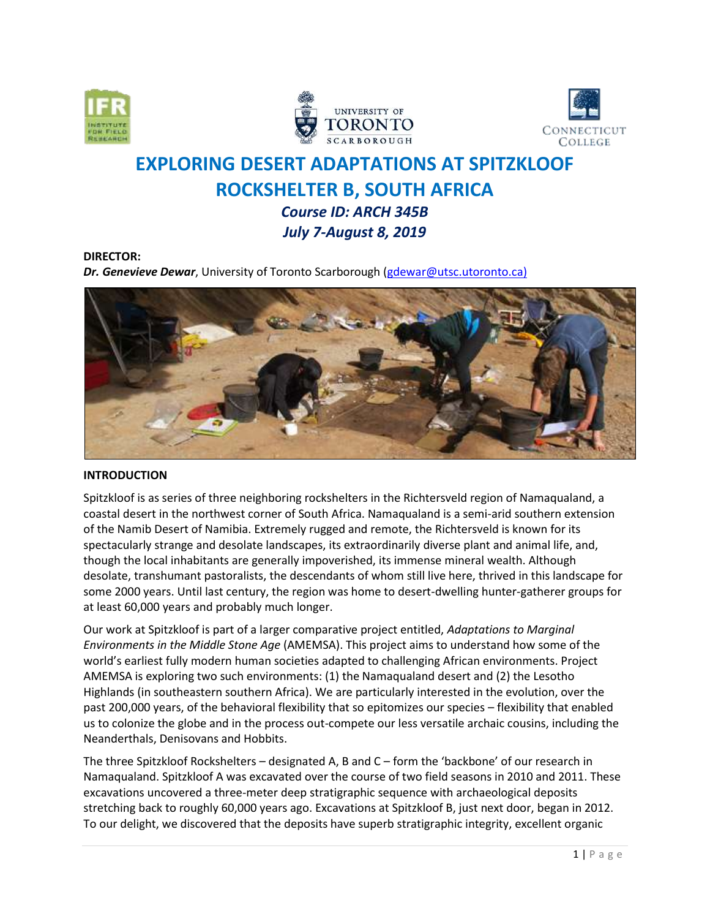





# **EXPLORING DESERT ADAPTATIONS AT SPITZKLOOF ROCKSHELTER B, SOUTH AFRICA**  *Course ID: ARCH 345B*

# *July 7-August 8, 2019*

#### **DIRECTOR:**

*Dr. Genevieve Dewar*, University of Toronto Scarborough [\(gdewar@utsc.utoronto.ca\)](mailto:gdewar@utsc.utoronto.ca))



# **INTRODUCTION**

Spitzkloof is as series of three neighboring rockshelters in the Richtersveld region of Namaqualand, a coastal desert in the northwest corner of South Africa. Namaqualand is a semi-arid southern extension of the Namib Desert of Namibia. Extremely rugged and remote, the Richtersveld is known for its spectacularly strange and desolate landscapes, its extraordinarily diverse plant and animal life, and, though the local inhabitants are generally impoverished, its immense mineral wealth. Although desolate, transhumant pastoralists, the descendants of whom still live here, thrived in this landscape for some 2000 years. Until last century, the region was home to desert-dwelling hunter-gatherer groups for at least 60,000 years and probably much longer.

Our work at Spitzkloof is part of a larger comparative project entitled, *Adaptations to Marginal Environments in the Middle Stone Age* (AMEMSA). This project aims to understand how some of the world's earliest fully modern human societies adapted to challenging African environments. Project AMEMSA is exploring two such environments: (1) the Namaqualand desert and (2) the Lesotho Highlands (in southeastern southern Africa). We are particularly interested in the evolution, over the past 200,000 years, of the behavioral flexibility that so epitomizes our species – flexibility that enabled us to colonize the globe and in the process out-compete our less versatile archaic cousins, including the Neanderthals, Denisovans and Hobbits.

The three Spitzkloof Rockshelters – designated A, B and C – form the 'backbone' of our research in Namaqualand. Spitzkloof A was excavated over the course of two field seasons in 2010 and 2011. These excavations uncovered a three-meter deep stratigraphic sequence with archaeological deposits stretching back to roughly 60,000 years ago. Excavations at Spitzkloof B, just next door, began in 2012. To our delight, we discovered that the deposits have superb stratigraphic integrity, excellent organic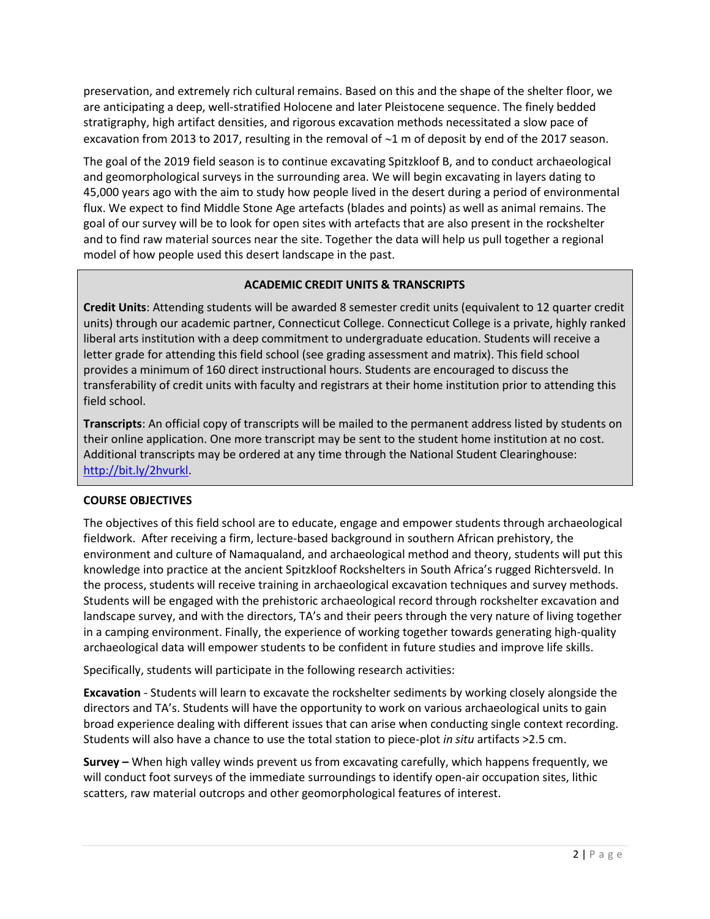preservation, and extremely rich cultural remains. Based on this and the shape of the shelter floor, we are anticipating a deep, well-stratified Holocene and later Pleistocene sequence. The finely bedded stratigraphy, high artifact densities, and rigorous excavation methods necessitated a slow pace of excavation from 2013 to 2017, resulting in the removal of  $\sim$ 1 m of deposit by end of the 2017 season.

The goal of the 2019 field season is to continue excavating Spitzkloof B, and to conduct archaeological and geomorphological surveys in the surrounding area. We will begin excavating in layers dating to 45,000 years ago with the aim to study how people lived in the desert during a period of environmental flux. We expect to find Middle Stone Age artefacts (blades and points) as well as animal remains. The goal of our survey will be to look for open sites with artefacts that are also present in the rockshelter and to find raw material sources near the site. Together the data will help us pull together a regional model of how people used this desert landscape in the past.

# **ACADEMIC CREDIT UNITS & TRANSCRIPTS**

**Credit Units**: Attending students will be awarded 8 semester credit units (equivalent to 12 quarter credit units) through our academic partner, Connecticut College. Connecticut College is a private, highly ranked liberal arts institution with a deep commitment to undergraduate education. Students will receive a letter grade for attending this field school (see grading assessment and matrix). This field school provides a minimum of 160 direct instructional hours. Students are encouraged to discuss the transferability of credit units with faculty and registrars at their home institution prior to attending this field school.

**Transcripts**: An official copy of transcripts will be mailed to the permanent address listed by students on their online application. One more transcript may be sent to the student home institution at no cost. Additional transcripts may be ordered at any time through the National Student Clearinghouse: [http://bit.ly/2hvurkl.](http://bit.ly/2hvurkl)

# **COURSE OBJECTIVES**

The objectives of this field school are to educate, engage and empower students through archaeological fieldwork. After receiving a firm, lecture-based background in southern African prehistory, the environment and culture of Namaqualand, and archaeological method and theory, students will put this knowledge into practice at the ancient Spitzkloof Rockshelters in South Africa's rugged Richtersveld. In the process, students will receive training in archaeological excavation techniques and survey methods. Students will be engaged with the prehistoric archaeological record through rockshelter excavation and landscape survey, and with the directors, TA's and their peers through the very nature of living together in a camping environment. Finally, the experience of working together towards generating high-quality archaeological data will empower students to be confident in future studies and improve life skills.

Specifically, students will participate in the following research activities:

**Excavation** - Students will learn to excavate the rockshelter sediments by working closely alongside the directors and TA's. Students will have the opportunity to work on various archaeological units to gain broad experience dealing with different issues that can arise when conducting single context recording. Students will also have a chance to use the total station to piece-plot *in situ* artifacts >2.5 cm.

**Survey –** When high valley winds prevent us from excavating carefully, which happens frequently, we will conduct foot surveys of the immediate surroundings to identify open-air occupation sites, lithic scatters, raw material outcrops and other geomorphological features of interest.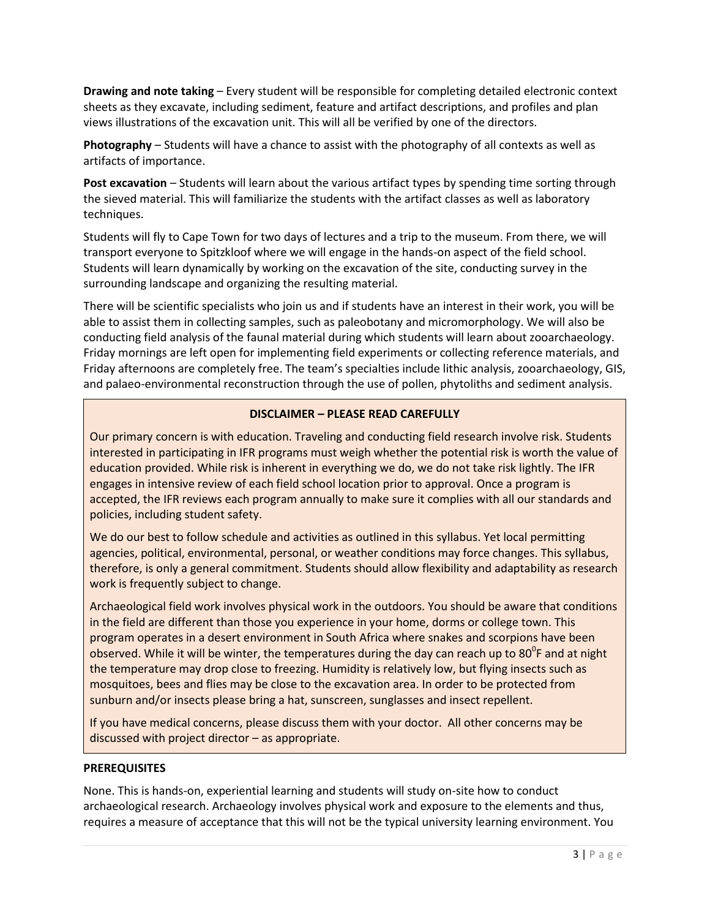**Drawing and note taking** – Every student will be responsible for completing detailed electronic context sheets as they excavate, including sediment, feature and artifact descriptions, and profiles and plan views illustrations of the excavation unit. This will all be verified by one of the directors.

**Photography** – Students will have a chance to assist with the photography of all contexts as well as artifacts of importance.

**Post excavation** – Students will learn about the various artifact types by spending time sorting through the sieved material. This will familiarize the students with the artifact classes as well as laboratory techniques.

Students will fly to Cape Town for two days of lectures and a trip to the museum. From there, we will transport everyone to Spitzkloof where we will engage in the hands-on aspect of the field school. Students will learn dynamically by working on the excavation of the site, conducting survey in the surrounding landscape and organizing the resulting material.

There will be scientific specialists who join us and if students have an interest in their work, you will be able to assist them in collecting samples, such as paleobotany and micromorphology. We will also be conducting field analysis of the faunal material during which students will learn about zooarchaeology. Friday mornings are left open for implementing field experiments or collecting reference materials, and Friday afternoons are completely free. The team's specialties include lithic analysis, zooarchaeology, GIS, and palaeo-environmental reconstruction through the use of pollen, phytoliths and sediment analysis.

## **DISCLAIMER – PLEASE READ CAREFULLY**

Our primary concern is with education. Traveling and conducting field research involve risk. Students interested in participating in IFR programs must weigh whether the potential risk is worth the value of education provided. While risk is inherent in everything we do, we do not take risk lightly. The IFR engages in intensive review of each field school location prior to approval. Once a program is accepted, the IFR reviews each program annually to make sure it complies with all our standards and policies, including student safety.

We do our best to follow schedule and activities as outlined in this syllabus. Yet local permitting agencies, political, environmental, personal, or weather conditions may force changes. This syllabus, therefore, is only a general commitment. Students should allow flexibility and adaptability as research work is frequently subject to change.

Archaeological field work involves physical work in the outdoors. You should be aware that conditions in the field are different than those you experience in your home, dorms or college town. This program operates in a desert environment in South Africa where snakes and scorpions have been observed. While it will be winter, the temperatures during the day can reach up to 80<sup>°</sup>F and at night the temperature may drop close to freezing. Humidity is relatively low, but flying insects such as mosquitoes, bees and flies may be close to the excavation area. In order to be protected from sunburn and/or insects please bring a hat, sunscreen, sunglasses and insect repellent.

If you have medical concerns, please discuss them with your doctor. All other concerns may be discussed with project director – as appropriate.

#### **PREREQUISITES**

None. This is hands-on, experiential learning and students will study on-site how to conduct archaeological research. Archaeology involves physical work and exposure to the elements and thus, requires a measure of acceptance that this will not be the typical university learning environment. You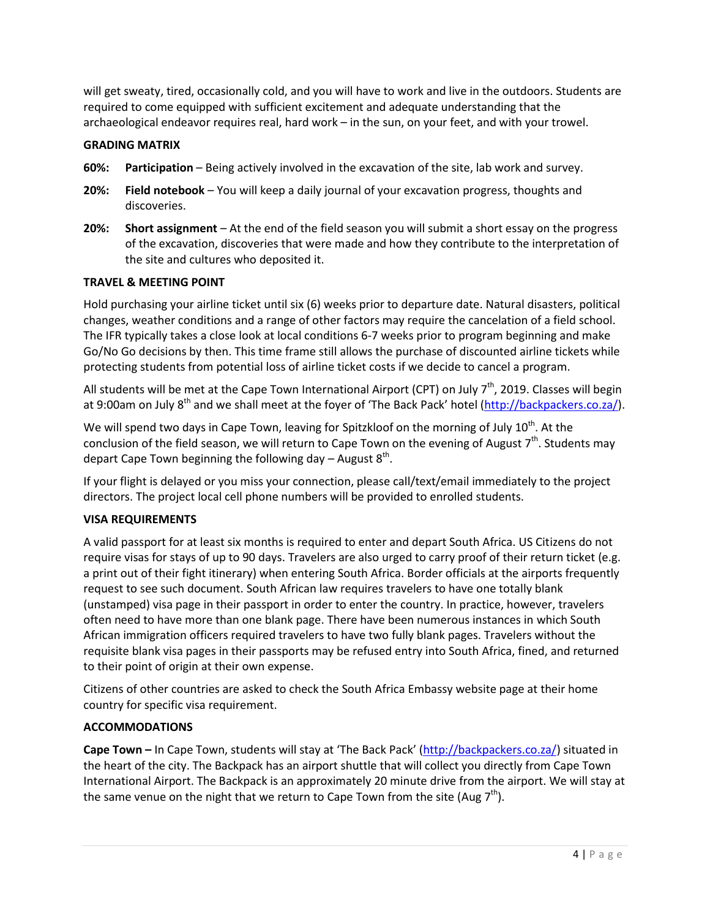will get sweaty, tired, occasionally cold, and you will have to work and live in the outdoors. Students are required to come equipped with sufficient excitement and adequate understanding that the archaeological endeavor requires real, hard work – in the sun, on your feet, and with your trowel.

### **GRADING MATRIX**

- **60%: Participation** Being actively involved in the excavation of the site, lab work and survey.
- **20%: Field notebook** You will keep a daily journal of your excavation progress, thoughts and discoveries.
- **20%: Short assignment** At the end of the field season you will submit a short essay on the progress of the excavation, discoveries that were made and how they contribute to the interpretation of the site and cultures who deposited it.

#### **TRAVEL & MEETING POINT**

Hold purchasing your airline ticket until six (6) weeks prior to departure date. Natural disasters, political changes, weather conditions and a range of other factors may require the cancelation of a field school. The IFR typically takes a close look at local conditions 6-7 weeks prior to program beginning and make Go/No Go decisions by then. This time frame still allows the purchase of discounted airline tickets while protecting students from potential loss of airline ticket costs if we decide to cancel a program.

All students will be met at the Cape Town International Airport (CPT) on July  $7<sup>th</sup>$ , 2019. Classes will begin at 9:00am on July 8<sup>th</sup> and we shall meet at the foyer of 'The Back Pack' hotel [\(http://backpackers.co.za/\)](http://backpackers.co.za/).

We will spend two days in Cape Town, leaving for Spitzkloof on the morning of July  $10^{\text{th}}$ . At the conclusion of the field season, we will return to Cape Town on the evening of August  $7^{\text{th}}$ . Students may depart Cape Town beginning the following day – August  $8^{th}$ .

If your flight is delayed or you miss your connection, please call/text/email immediately to the project directors. The project local cell phone numbers will be provided to enrolled students.

# **VISA REQUIREMENTS**

A valid passport for at least six months is required to enter and depart South Africa. US Citizens do not require visas for stays of up to 90 days. Travelers are also urged to carry proof of their return ticket (e.g. a print out of their fight itinerary) when entering South Africa. Border officials at the airports frequently request to see such document. South African law requires travelers to have one totally blank (unstamped) visa page in their passport in order to enter the country. In practice, however, travelers often need to have more than one blank page. There have been numerous instances in which South African immigration officers required travelers to have two fully blank pages. Travelers without the requisite blank visa pages in their passports may be refused entry into South Africa, fined, and returned to their point of origin at their own expense.

Citizens of other countries are asked to check the South Africa Embassy website page at their home country for specific visa requirement.

# **ACCOMMODATIONS**

**Cape Town –** In Cape Town, students will stay at 'The Back Pack' [\(http://backpackers.co.za/\)](http://backpackers.co.za/) situated in the heart of the city. The Backpack has an airport shuttle that will collect you directly from Cape Town International Airport. The Backpack is an approximately 20 minute drive from the airport. We will stay at the same venue on the night that we return to Cape Town from the site (Aug 7<sup>th</sup>).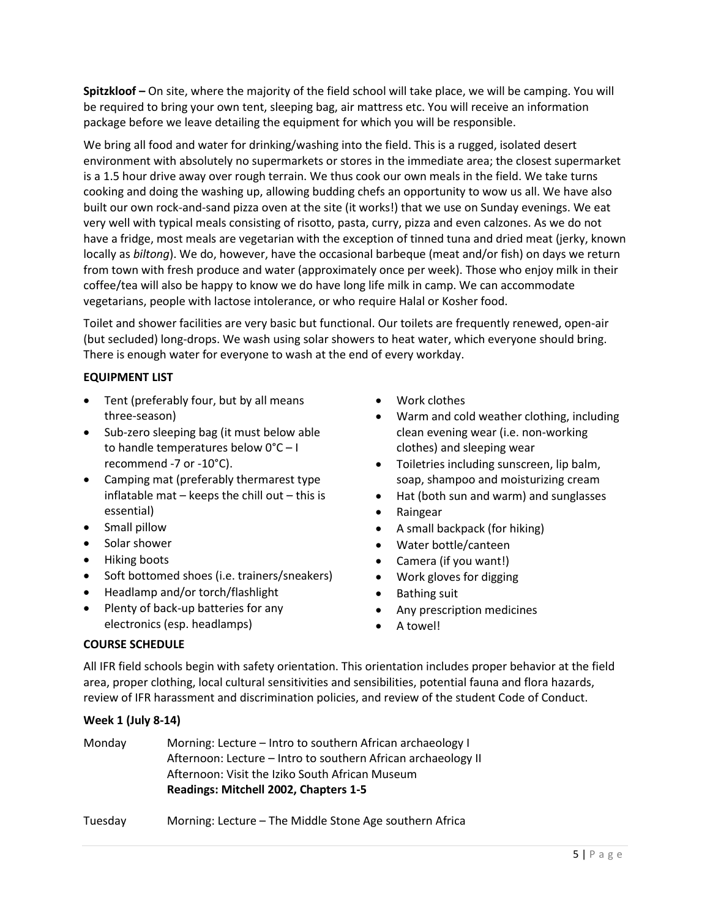**Spitzkloof –** On site, where the majority of the field school will take place, we will be camping. You will be required to bring your own tent, sleeping bag, air mattress etc. You will receive an information package before we leave detailing the equipment for which you will be responsible.

We bring all food and water for drinking/washing into the field. This is a rugged, isolated desert environment with absolutely no supermarkets or stores in the immediate area; the closest supermarket is a 1.5 hour drive away over rough terrain. We thus cook our own meals in the field. We take turns cooking and doing the washing up, allowing budding chefs an opportunity to wow us all. We have also built our own rock-and-sand pizza oven at the site (it works!) that we use on Sunday evenings. We eat very well with typical meals consisting of risotto, pasta, curry, pizza and even calzones. As we do not have a fridge, most meals are vegetarian with the exception of tinned tuna and dried meat (jerky, known locally as *biltong*). We do, however, have the occasional barbeque (meat and/or fish) on days we return from town with fresh produce and water (approximately once per week). Those who enjoy milk in their coffee/tea will also be happy to know we do have long life milk in camp. We can accommodate vegetarians, people with lactose intolerance, or who require Halal or Kosher food.

Toilet and shower facilities are very basic but functional. Our toilets are frequently renewed, open-air (but secluded) long-drops. We wash using solar showers to heat water, which everyone should bring. There is enough water for everyone to wash at the end of every workday.

### **EQUIPMENT LIST**

- Tent (preferably four, but by all means three-season)
- Sub-zero sleeping bag (it must below able to handle temperatures below 0°C – I recommend -7 or -10°C).
- Camping mat (preferably thermarest type inflatable mat  $-$  keeps the chill out  $-$  this is essential)
- Small pillow
- Solar shower
- Hiking boots
- Soft bottomed shoes (i.e. trainers/sneakers)
- Headlamp and/or torch/flashlight
- Plenty of back-up batteries for any electronics (esp. headlamps)
- Work clothes
- Warm and cold weather clothing, including clean evening wear (i.e. non-working clothes) and sleeping wear
- Toiletries including sunscreen, lip balm, soap, shampoo and moisturizing cream
- Hat (both sun and warm) and sunglasses
- Raingear
- A small backpack (for hiking)
- Water bottle/canteen
- Camera (if you want!)
- Work gloves for digging
- Bathing suit
- Any prescription medicines
- A towel!

#### **COURSE SCHEDULE**

All IFR field schools begin with safety orientation. This orientation includes proper behavior at the field area, proper clothing, local cultural sensitivities and sensibilities, potential fauna and flora hazards, review of IFR harassment and discrimination policies, and review of the student Code of Conduct.

#### **Week 1 (July 8-14)**

| Monday  | Morning: Lecture – Intro to southern African archaeology I<br>Afternoon: Lecture – Intro to southern African archaeology II<br>Afternoon: Visit the Iziko South African Museum<br>Readings: Mitchell 2002, Chapters 1-5 |
|---------|-------------------------------------------------------------------------------------------------------------------------------------------------------------------------------------------------------------------------|
| Tuesday | Morning: Lecture – The Middle Stone Age southern Africa                                                                                                                                                                 |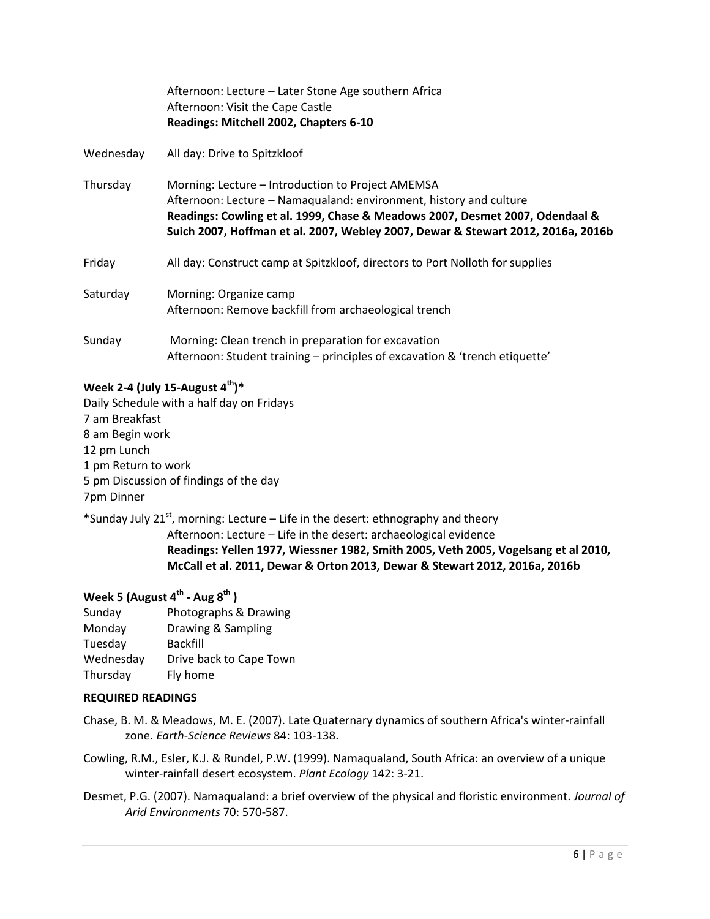|           | Afternoon: Lecture – Later Stone Age southern Africa<br>Afternoon: Visit the Cape Castle<br>Readings: Mitchell 2002, Chapters 6-10                                                                                                                                                          |  |
|-----------|---------------------------------------------------------------------------------------------------------------------------------------------------------------------------------------------------------------------------------------------------------------------------------------------|--|
| Wednesday | All day: Drive to Spitzkloof                                                                                                                                                                                                                                                                |  |
| Thursday  | Morning: Lecture – Introduction to Project AMEMSA<br>Afternoon: Lecture – Namaqualand: environment, history and culture<br>Readings: Cowling et al. 1999, Chase & Meadows 2007, Desmet 2007, Odendaal &<br>Suich 2007, Hoffman et al. 2007, Webley 2007, Dewar & Stewart 2012, 2016a, 2016b |  |
| Friday    | All day: Construct camp at Spitzkloof, directors to Port Nolloth for supplies                                                                                                                                                                                                               |  |
| Saturday  | Morning: Organize camp<br>Afternoon: Remove backfill from archaeological trench                                                                                                                                                                                                             |  |
| Sunday    | Morning: Clean trench in preparation for excavation<br>Afternoon: Student training – principles of excavation & 'trench etiquette'                                                                                                                                                          |  |

# **Week 2-4 (July 15-August 4th)\***

Daily Schedule with a half day on Fridays 7 am Breakfast 8 am Begin work 12 pm Lunch 1 pm Return to work 5 pm Discussion of findings of the day 7pm Dinner

\*Sunday July 21<sup>st</sup>, morning: Lecture – Life in the desert: ethnography and theory Afternoon: Lecture – Life in the desert: archaeological evidence **Readings: Yellen 1977, Wiessner 1982, Smith 2005, Veth 2005, Vogelsang et al 2010, McCall et al. 2011, Dewar & Orton 2013, Dewar & Stewart 2012, 2016a, 2016b**

# **Week 5 (August 4th - Aug 8 th )**

| Sunday    | Photographs & Drawing   |
|-----------|-------------------------|
| Monday    | Drawing & Sampling      |
| Tuesday   | <b>Backfill</b>         |
| Wednesday | Drive back to Cape Town |
| Thursday  | Fly home                |

#### **REQUIRED READINGS**

- Chase, B. M. & Meadows, M. E. (2007). Late Quaternary dynamics of southern Africa's winter-rainfall zone. *Earth-Science Reviews* 84: 103-138.
- Cowling, R.M., Esler, K.J. & Rundel, P.W. (1999). Namaqualand, South Africa: an overview of a unique winter-rainfall desert ecosystem. *Plant Ecology* 142: 3-21.
- Desmet, P.G. (2007). Namaqualand: a brief overview of the physical and floristic environment. *Journal of Arid Environments* 70: 570-587.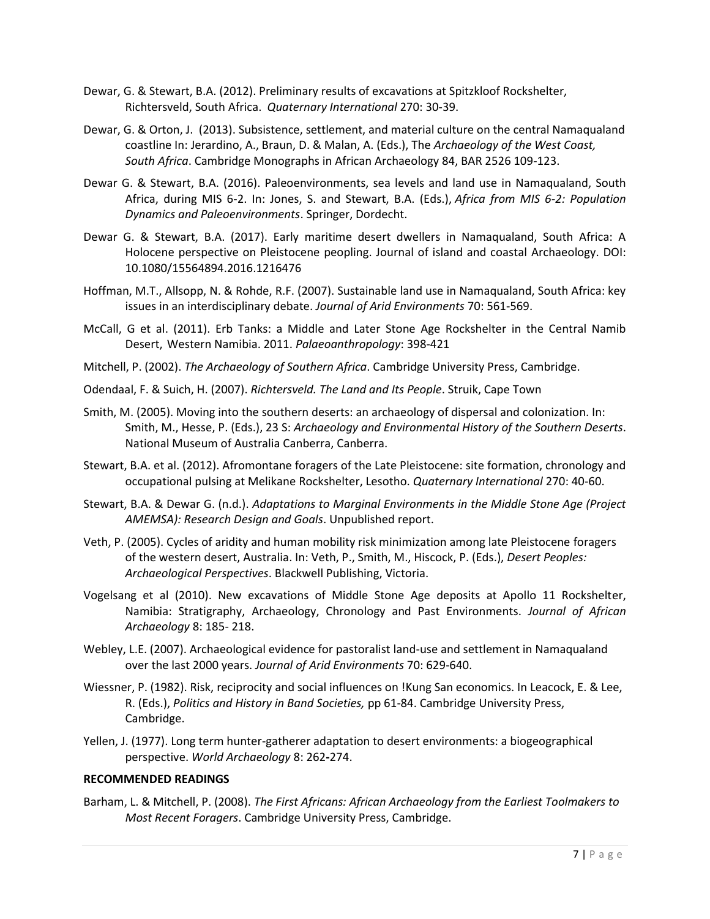- Dewar, G. & Stewart, B.A. (2012). Preliminary results of excavations at Spitzkloof Rockshelter, Richtersveld, South Africa. *Quaternary International* 270: 30-39.
- Dewar, G. & Orton, J. (2013). Subsistence, settlement, and material culture on the central Namaqualand coastline In: Jerardino, A., Braun, D. & Malan, A. (Eds.), The *Archaeology of the West Coast, South Africa*. Cambridge Monographs in African Archaeology 84, BAR 2526 109-123.
- Dewar G. & Stewart, B.A. (2016). Paleoenvironments, sea levels and land use in Namaqualand, South Africa, during MIS 6-2. In: Jones, S. and Stewart, B.A. (Eds.), *Africa from MIS 6-2: Population Dynamics and Paleoenvironments*. Springer, Dordecht.
- Dewar G. & Stewart, B.A. (2017). Early maritime desert dwellers in Namaqualand, South Africa: A Holocene perspective on Pleistocene peopling. Journal of island and coastal Archaeology. DOI: 10.1080/15564894.2016.1216476
- Hoffman, M.T., Allsopp, N. & Rohde, R.F. (2007). Sustainable land use in Namaqualand, South Africa: key issues in an interdisciplinary debate. *Journal of Arid Environments* 70: 561-569.
- McCall, G et al. (2011). Erb Tanks: a Middle and Later Stone Age Rockshelter in the Central Namib Desert, Western Namibia. 2011. *Palaeoanthropology*: 398-421
- Mitchell, P. (2002). *The Archaeology of Southern Africa*. Cambridge University Press, Cambridge.
- Odendaal, F. & Suich, H. (2007). *Richtersveld. The Land and Its People*. Struik, Cape Town
- Smith, M. (2005). Moving into the southern deserts: an archaeology of dispersal and colonization. In: Smith, M., Hesse, P. (Eds.), 23 S: *Archaeology and Environmental History of the Southern Deserts*. National Museum of Australia Canberra, Canberra.
- Stewart, B.A. et al. (2012). Afromontane foragers of the Late Pleistocene: site formation, chronology and occupational pulsing at Melikane Rockshelter, Lesotho. *Quaternary International* 270: 40-60.
- Stewart, B.A. & Dewar G. (n.d.). *Adaptations to Marginal Environments in the Middle Stone Age (Project AMEMSA): Research Design and Goals*. Unpublished report.
- Veth, P. (2005). Cycles of aridity and human mobility risk minimization among late Pleistocene foragers of the western desert, Australia. In: Veth, P., Smith, M., Hiscock, P. (Eds.), *Desert Peoples: Archaeological Perspectives*. Blackwell Publishing, Victoria.
- Vogelsang et al (2010). New excavations of Middle Stone Age deposits at Apollo 11 Rockshelter, Namibia: Stratigraphy, Archaeology, Chronology and Past Environments. *Journal of African Archaeology* 8: 185- 218.
- Webley, L.E. (2007). Archaeological evidence for pastoralist land-use and settlement in Namaqualand over the last 2000 years. *Journal of Arid Environments* 70: 629-640.
- Wiessner, P. (1982). Risk, reciprocity and social influences on !Kung San economics. In Leacock, E. & Lee, R. (Eds.), *Politics and History in Band Societies,* pp 61-84. Cambridge University Press, Cambridge.
- Yellen, J. (1977). Long term hunter-gatherer adaptation to desert environments: a biogeographical perspective. *World Archaeology* 8: 262**-**274.

#### **RECOMMENDED READINGS**

Barham, L. & Mitchell, P. (2008). *The First Africans: African Archaeology from the Earliest Toolmakers to Most Recent Foragers*. Cambridge University Press, Cambridge.